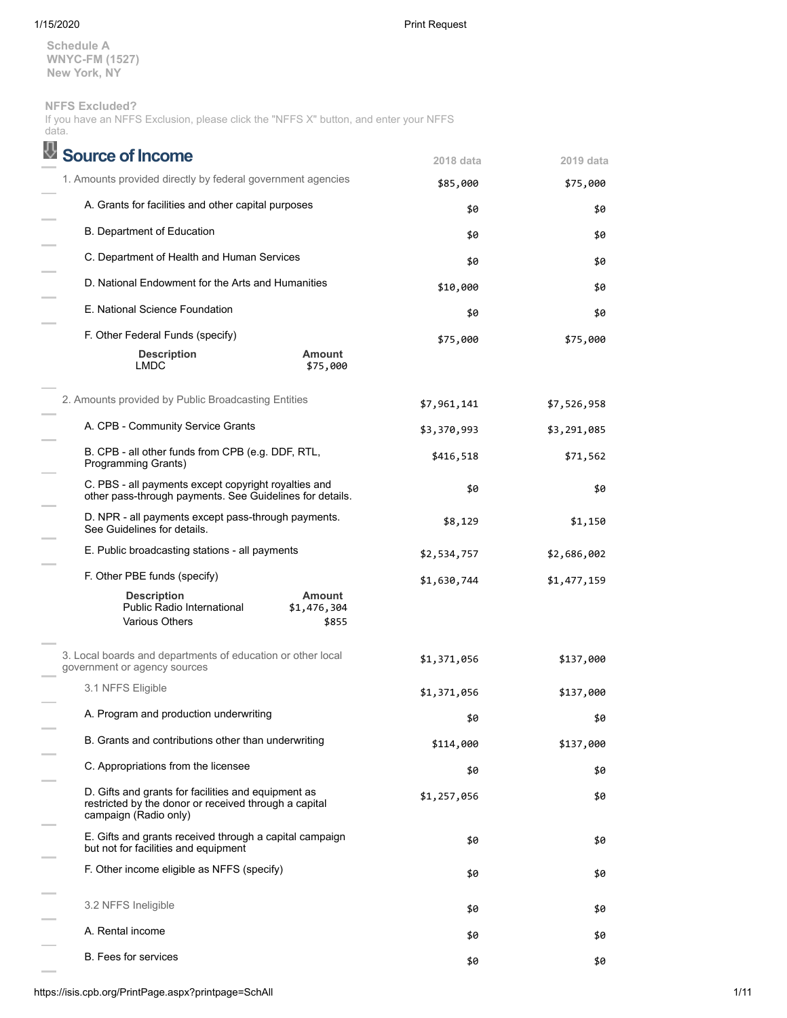**Schedule A WNYC-FM (1527) New York, NY**

# **NFFS Excluded?**

|       | If you have an NFFS Exclusion, please click the "NFFS X" button, and enter your NFFS |  |  |  |  |  |
|-------|--------------------------------------------------------------------------------------|--|--|--|--|--|
| data. |                                                                                      |  |  |  |  |  |

| <b>Source of Income</b>                                                                                                               | 2018 data   | 2019 data   |
|---------------------------------------------------------------------------------------------------------------------------------------|-------------|-------------|
| 1. Amounts provided directly by federal government agencies                                                                           | \$85,000    | \$75,000    |
| A. Grants for facilities and other capital purposes                                                                                   | \$0         | \$0         |
| B. Department of Education                                                                                                            | \$0         | \$0         |
| C. Department of Health and Human Services                                                                                            | \$0         | \$0         |
| D. National Endowment for the Arts and Humanities                                                                                     | \$10,000    | \$0         |
| E. National Science Foundation                                                                                                        | \$0         | \$0         |
| F. Other Federal Funds (specify)                                                                                                      | \$75,000    | \$75,000    |
| <b>Amount</b><br><b>Description</b><br><b>LMDC</b><br>\$75,000                                                                        |             |             |
| 2. Amounts provided by Public Broadcasting Entities                                                                                   | \$7,961,141 | \$7,526,958 |
| A. CPB - Community Service Grants                                                                                                     | \$3,370,993 | \$3,291,085 |
| B. CPB - all other funds from CPB (e.g. DDF, RTL,<br>Programming Grants)                                                              | \$416,518   | \$71,562    |
| C. PBS - all payments except copyright royalties and<br>other pass-through payments. See Guidelines for details.                      | \$0         | \$0         |
| D. NPR - all payments except pass-through payments.<br>See Guidelines for details.                                                    | \$8,129     | \$1,150     |
| E. Public broadcasting stations - all payments                                                                                        | \$2,534,757 | \$2,686,002 |
| F. Other PBE funds (specify)                                                                                                          | \$1,630,744 | \$1,477,159 |
| <b>Description</b><br><b>Amount</b><br>Public Radio International<br>\$1,476,304<br><b>Various Others</b><br>\$855                    |             |             |
| 3. Local boards and departments of education or other local<br>government or agency sources                                           | \$1,371,056 | \$137,000   |
| 3.1 NFFS Eligible                                                                                                                     | \$1,371,056 | \$137,000   |
| A. Program and production underwriting                                                                                                | \$0         | \$0         |
| B. Grants and contributions other than underwriting                                                                                   | \$114,000   | \$137,000   |
| C. Appropriations from the licensee                                                                                                   | \$0         | \$0         |
| D. Gifts and grants for facilities and equipment as<br>restricted by the donor or received through a capital<br>campaign (Radio only) | \$1,257,056 | \$0         |
| E. Gifts and grants received through a capital campaign<br>but not for facilities and equipment                                       | \$0         | \$0         |
| F. Other income eligible as NFFS (specify)                                                                                            | \$0         | \$0         |
| 3.2 NFFS Ineligible                                                                                                                   | \$0         | \$0         |
| A. Rental income                                                                                                                      | \$0         | \$0         |
| <b>B.</b> Fees for services                                                                                                           | \$0         | \$0         |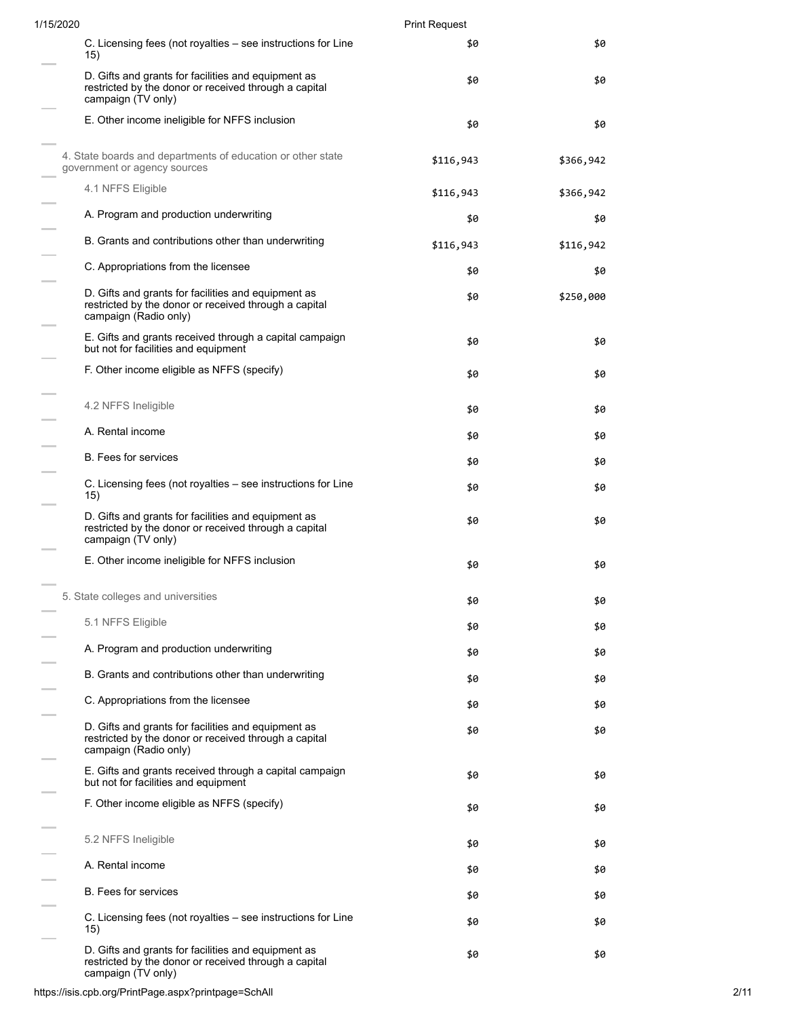| 1/15/2020 |                                                                                                                                       | <b>Print Request</b> |           |  |  |
|-----------|---------------------------------------------------------------------------------------------------------------------------------------|----------------------|-----------|--|--|
|           | C. Licensing fees (not royalties – see instructions for Line<br>15)                                                                   | \$0                  | \$0       |  |  |
|           | D. Gifts and grants for facilities and equipment as<br>restricted by the donor or received through a capital<br>campaign (TV only)    | \$0                  | \$0       |  |  |
|           | E. Other income ineligible for NFFS inclusion                                                                                         | \$0                  | \$0       |  |  |
|           | 4. State boards and departments of education or other state<br>government or agency sources                                           | \$116,943            | \$366,942 |  |  |
|           | 4.1 NFFS Eligible                                                                                                                     | \$116,943            | \$366,942 |  |  |
|           | A. Program and production underwriting                                                                                                | \$0                  | \$0       |  |  |
|           | B. Grants and contributions other than underwriting                                                                                   | \$116,943            | \$116,942 |  |  |
|           | C. Appropriations from the licensee                                                                                                   | \$0                  | \$0       |  |  |
|           | D. Gifts and grants for facilities and equipment as<br>restricted by the donor or received through a capital<br>campaign (Radio only) | \$0                  | \$250,000 |  |  |
|           | E. Gifts and grants received through a capital campaign<br>but not for facilities and equipment                                       | \$0                  | \$0       |  |  |
|           | F. Other income eligible as NFFS (specify)                                                                                            | \$0                  | \$0       |  |  |
|           | 4.2 NFFS Ineligible                                                                                                                   | \$0                  | \$0       |  |  |
|           | A. Rental income                                                                                                                      | \$0                  | \$0       |  |  |
|           | <b>B.</b> Fees for services                                                                                                           | \$0                  | \$0       |  |  |
|           | C. Licensing fees (not royalties – see instructions for Line<br>15)                                                                   | \$0                  | \$0       |  |  |
|           | D. Gifts and grants for facilities and equipment as<br>restricted by the donor or received through a capital<br>campaign (TV only)    | \$0                  | \$0       |  |  |
|           | E. Other income ineligible for NFFS inclusion                                                                                         | \$0                  | \$0       |  |  |
|           | 5. State colleges and universities                                                                                                    | \$0                  | \$0       |  |  |
|           | 5.1 NFFS Eligible                                                                                                                     | \$0                  | \$0       |  |  |
|           | A. Program and production underwriting                                                                                                | \$0                  | \$0       |  |  |
|           | B. Grants and contributions other than underwriting                                                                                   | \$0                  | \$0       |  |  |
|           | C. Appropriations from the licensee                                                                                                   | \$0                  | \$0       |  |  |
|           | D. Gifts and grants for facilities and equipment as<br>restricted by the donor or received through a capital<br>campaign (Radio only) | \$0                  | \$0       |  |  |
|           | E. Gifts and grants received through a capital campaign<br>but not for facilities and equipment                                       | \$0                  | \$0       |  |  |
|           | F. Other income eligible as NFFS (specify)                                                                                            | \$0                  | \$0       |  |  |
|           | 5.2 NFFS Ineligible                                                                                                                   | \$0                  | \$0       |  |  |
|           | A. Rental income                                                                                                                      | \$0                  | \$0       |  |  |
|           | <b>B.</b> Fees for services                                                                                                           | \$0                  | \$0       |  |  |
|           | C. Licensing fees (not royalties – see instructions for Line<br>15)                                                                   | \$0                  | \$0       |  |  |
|           | D. Gifts and grants for facilities and equipment as<br>restricted by the donor or received through a capital<br>campaign (TV only)    | \$0                  | \$0       |  |  |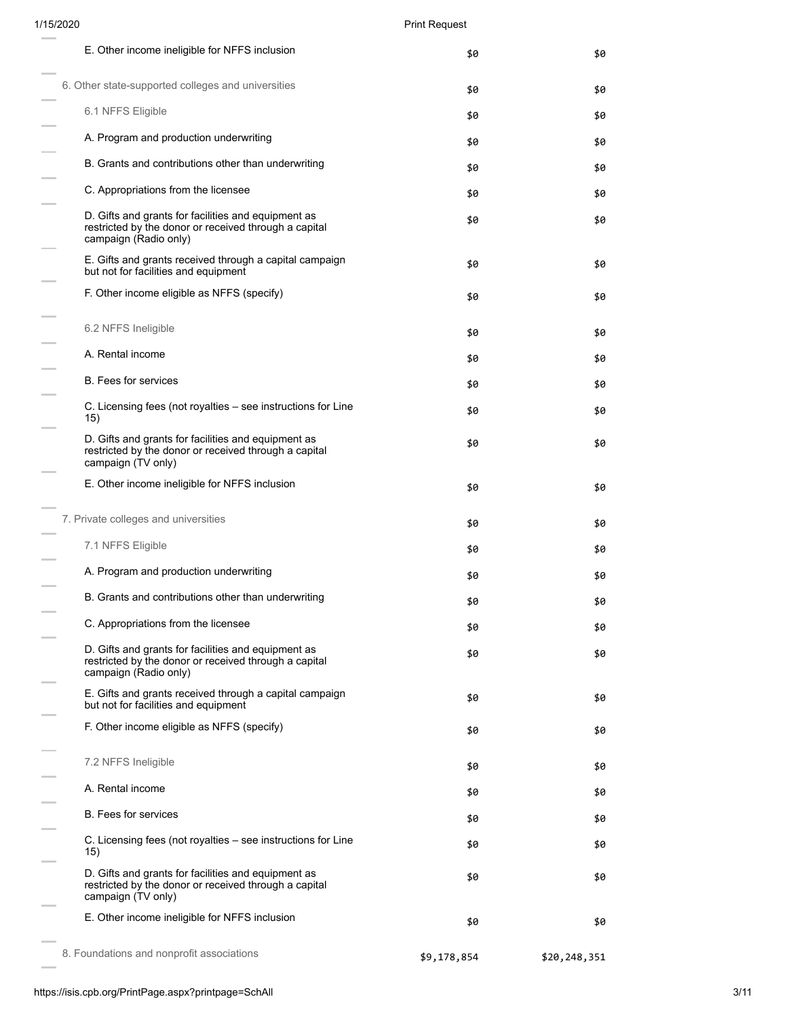| E. Other income ineligible for NFFS inclusion                                                                                         | \$0         | \$0          |
|---------------------------------------------------------------------------------------------------------------------------------------|-------------|--------------|
| 6. Other state-supported colleges and universities                                                                                    | \$0         | \$0          |
| 6.1 NFFS Eligible                                                                                                                     | \$0         | \$0          |
| A. Program and production underwriting                                                                                                | \$0         | \$0          |
| B. Grants and contributions other than underwriting                                                                                   | \$0         | \$0          |
| C. Appropriations from the licensee                                                                                                   | \$0         | \$0          |
| D. Gifts and grants for facilities and equipment as<br>restricted by the donor or received through a capital<br>campaign (Radio only) | \$0         | \$0          |
| E. Gifts and grants received through a capital campaign<br>but not for facilities and equipment                                       | \$0         | \$0          |
| F. Other income eligible as NFFS (specify)                                                                                            | \$0         | \$0          |
| 6.2 NFFS Ineligible                                                                                                                   | \$0         | \$0          |
| A. Rental income                                                                                                                      | \$0         | \$0          |
| <b>B.</b> Fees for services                                                                                                           | \$0         | \$0          |
| C. Licensing fees (not royalties – see instructions for Line<br>15)                                                                   | \$0         | \$0          |
| D. Gifts and grants for facilities and equipment as<br>restricted by the donor or received through a capital<br>campaign (TV only)    | \$0         | \$0          |
| E. Other income ineligible for NFFS inclusion                                                                                         | \$0         | \$0          |
| 7. Private colleges and universities                                                                                                  | \$0         | \$0          |
| 7.1 NFFS Eligible                                                                                                                     | \$0         | \$0          |
| A. Program and production underwriting                                                                                                | \$0         | \$0          |
| B. Grants and contributions other than underwriting                                                                                   | \$0         | \$0          |
| C. Appropriations from the licensee                                                                                                   | \$0         | \$0          |
| D. Gifts and grants for facilities and equipment as<br>restricted by the donor or received through a capital<br>campaign (Radio only) | \$0         | \$0          |
| E. Gifts and grants received through a capital campaign<br>but not for facilities and equipment                                       | \$0         | \$0          |
| F. Other income eligible as NFFS (specify)                                                                                            | \$0         | \$0          |
| 7.2 NFFS Ineligible                                                                                                                   | \$0         | \$0          |
| A. Rental income                                                                                                                      | \$0         | \$0          |
| <b>B.</b> Fees for services                                                                                                           | \$0         | \$0          |
| C. Licensing fees (not royalties – see instructions for Line<br>15)                                                                   | \$0         | \$0          |
| D. Gifts and grants for facilities and equipment as<br>restricted by the donor or received through a capital<br>campaign (TV only)    | \$0         | \$0          |
| E. Other income ineligible for NFFS inclusion                                                                                         | \$0         | \$0          |
| 8. Foundations and nonprofit associations                                                                                             | \$9,178,854 | \$20,248,351 |

 $\mathcal{L}$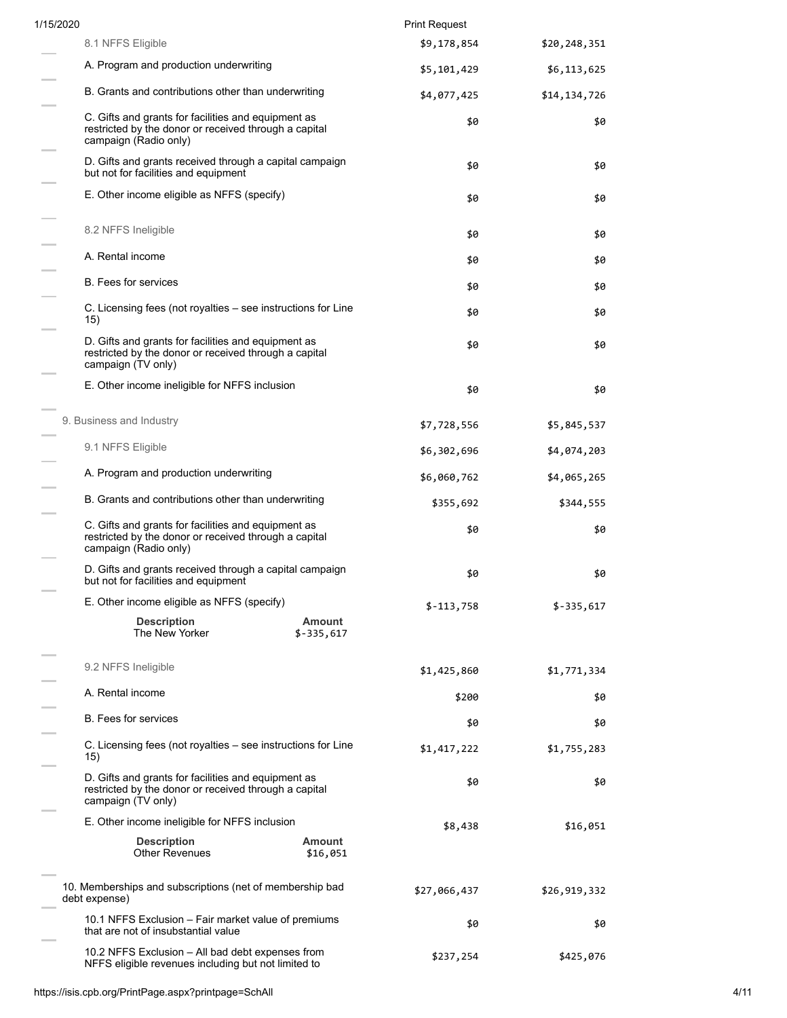| 1/15/2020 |                                                                                                                                       |                       | <b>Print Request</b> |              |
|-----------|---------------------------------------------------------------------------------------------------------------------------------------|-----------------------|----------------------|--------------|
|           | 8.1 NFFS Eligible                                                                                                                     |                       | \$9,178,854          | \$20,248,351 |
|           | A. Program and production underwriting                                                                                                |                       | \$5,101,429          | \$6,113,625  |
|           | B. Grants and contributions other than underwriting                                                                                   |                       | \$4,077,425          | \$14,134,726 |
|           | C. Gifts and grants for facilities and equipment as<br>restricted by the donor or received through a capital<br>campaign (Radio only) |                       | \$0                  | \$0          |
|           | D. Gifts and grants received through a capital campaign<br>but not for facilities and equipment                                       |                       | \$0                  | \$0          |
|           | E. Other income eligible as NFFS (specify)                                                                                            |                       | \$0                  | \$0          |
|           | 8.2 NFFS Ineligible                                                                                                                   |                       | \$0                  | \$0          |
|           | A. Rental income                                                                                                                      |                       | \$0                  | \$0          |
|           | <b>B.</b> Fees for services                                                                                                           |                       | \$0                  | \$0          |
|           | C. Licensing fees (not royalties – see instructions for Line<br>15)                                                                   |                       | \$0                  | \$0          |
|           | D. Gifts and grants for facilities and equipment as<br>restricted by the donor or received through a capital<br>campaign (TV only)    |                       | \$0                  | \$0          |
|           | E. Other income ineligible for NFFS inclusion                                                                                         |                       | \$0                  | \$0          |
|           | 9. Business and Industry                                                                                                              |                       | \$7,728,556          | \$5,845,537  |
|           | 9.1 NFFS Eligible                                                                                                                     |                       | \$6,302,696          | \$4,074,203  |
|           | A. Program and production underwriting                                                                                                |                       | \$6,060,762          | \$4,065,265  |
|           | B. Grants and contributions other than underwriting                                                                                   |                       | \$355,692            | \$344,555    |
|           | C. Gifts and grants for facilities and equipment as<br>restricted by the donor or received through a capital<br>campaign (Radio only) |                       | \$0                  | \$0          |
|           | D. Gifts and grants received through a capital campaign<br>but not for facilities and equipment                                       |                       | \$0                  | \$0          |
|           | E. Other income eligible as NFFS (specify)                                                                                            |                       | $$-113,758$          | $$-335,617$  |
|           | <b>Description</b><br>The New Yorker                                                                                                  | Amount<br>$$-335,617$ |                      |              |
|           | 9.2 NFFS Ineligible                                                                                                                   |                       | \$1,425,860          | \$1,771,334  |
|           | A. Rental income                                                                                                                      |                       | \$200                | \$0          |
|           | <b>B.</b> Fees for services                                                                                                           |                       | \$0                  | \$0          |
|           | C. Licensing fees (not royalties – see instructions for Line<br>15)                                                                   |                       | \$1,417,222          | \$1,755,283  |
|           | D. Gifts and grants for facilities and equipment as<br>restricted by the donor or received through a capital<br>campaign (TV only)    |                       | \$0                  | \$0          |
|           | E. Other income ineligible for NFFS inclusion                                                                                         |                       | \$8,438              | \$16,051     |
|           | <b>Description</b><br><b>Other Revenues</b>                                                                                           | Amount<br>\$16,051    |                      |              |
|           | 10. Memberships and subscriptions (net of membership bad<br>debt expense)                                                             |                       | \$27,066,437         | \$26,919,332 |
|           | 10.1 NFFS Exclusion – Fair market value of premiums<br>that are not of insubstantial value                                            |                       | \$0                  | \$0          |
|           | 10.2 NFFS Exclusion - All bad debt expenses from<br>NFFS eligible revenues including but not limited to                               |                       | \$237,254            | \$425,076    |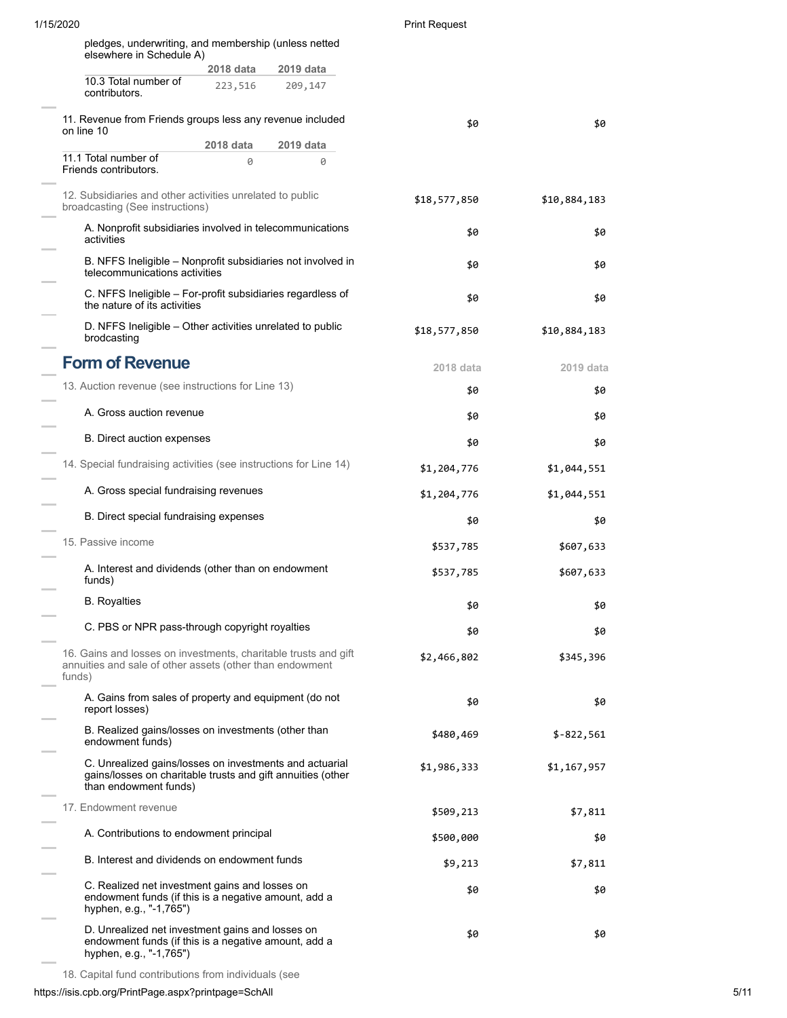| 1/15/2020 |                                                                                                                                                 |           |           | <b>Print Request</b> |              |
|-----------|-------------------------------------------------------------------------------------------------------------------------------------------------|-----------|-----------|----------------------|--------------|
|           | pledges, underwriting, and membership (unless netted                                                                                            |           |           |                      |              |
|           | elsewhere in Schedule A)                                                                                                                        | 2018 data | 2019 data |                      |              |
|           | 10.3 Total number of<br>contributors.                                                                                                           | 223,516   | 209,147   |                      |              |
|           | 11. Revenue from Friends groups less any revenue included<br>on line 10                                                                         |           |           | \$0                  | \$0          |
|           |                                                                                                                                                 | 2018 data | 2019 data |                      |              |
|           | 11.1 Total number of<br>Friends contributors.                                                                                                   | 0         | 0         |                      |              |
|           | 12. Subsidiaries and other activities unrelated to public<br>broadcasting (See instructions)                                                    |           |           | \$18,577,850         | \$10,884,183 |
|           | A. Nonprofit subsidiaries involved in telecommunications<br>activities                                                                          |           |           | \$0                  | \$0          |
|           | B. NFFS Ineligible – Nonprofit subsidiaries not involved in<br>telecommunications activities                                                    |           |           | \$0                  | \$0          |
|           | C. NFFS Ineligible - For-profit subsidiaries regardless of<br>the nature of its activities                                                      |           |           | \$0                  | \$0          |
|           | D. NFFS Ineligible – Other activities unrelated to public<br>brodcasting                                                                        |           |           | \$18,577,850         | \$10,884,183 |
|           | <b>Form of Revenue</b>                                                                                                                          |           |           | 2018 data            | 2019 data    |
|           | 13. Auction revenue (see instructions for Line 13)                                                                                              |           |           | \$0                  | \$0          |
|           | A. Gross auction revenue                                                                                                                        |           |           | \$0                  | \$0          |
|           | <b>B.</b> Direct auction expenses                                                                                                               |           |           | \$0                  | \$0          |
|           | 14. Special fundraising activities (see instructions for Line 14)                                                                               |           |           | \$1,204,776          | \$1,044,551  |
|           | A. Gross special fundraising revenues                                                                                                           |           |           | \$1,204,776          | \$1,044,551  |
|           | B. Direct special fundraising expenses                                                                                                          |           |           | \$0                  | \$0          |
|           | 15. Passive income                                                                                                                              |           |           | \$537,785            | \$607,633    |
|           | A. Interest and dividends (other than on endowment<br>funds)                                                                                    |           |           | \$537,785            | \$607,633    |
|           | <b>B.</b> Royalties                                                                                                                             |           |           | \$0                  | \$0          |
|           | C. PBS or NPR pass-through copyright royalties                                                                                                  |           |           | \$0                  | \$0          |
| funds)    | 16. Gains and losses on investments, charitable trusts and gift<br>annuities and sale of other assets (other than endowment                     |           |           | \$2,466,802          | \$345,396    |
|           | A. Gains from sales of property and equipment (do not<br>report losses)                                                                         |           |           | \$0                  | \$0          |
|           | B. Realized gains/losses on investments (other than<br>endowment funds)                                                                         |           |           | \$480,469            | $$-822,561$  |
|           | C. Unrealized gains/losses on investments and actuarial<br>gains/losses on charitable trusts and gift annuities (other<br>than endowment funds) |           |           | \$1,986,333          | \$1,167,957  |
|           | 17. Endowment revenue                                                                                                                           |           |           | \$509,213            | \$7,811      |
|           | A. Contributions to endowment principal                                                                                                         |           |           | \$500,000            | \$0          |
|           | B. Interest and dividends on endowment funds                                                                                                    |           |           | \$9,213              | \$7,811      |
|           | C. Realized net investment gains and losses on<br>endowment funds (if this is a negative amount, add a<br>hyphen, e.g., "-1,765")               |           |           | \$0                  | \$0          |
|           | D. Unrealized net investment gains and losses on<br>endowment funds (if this is a negative amount, add a<br>hyphen, e.g., "-1,765")             |           |           | \$0                  | \$0          |

18. Capital fund contributions from individuals (see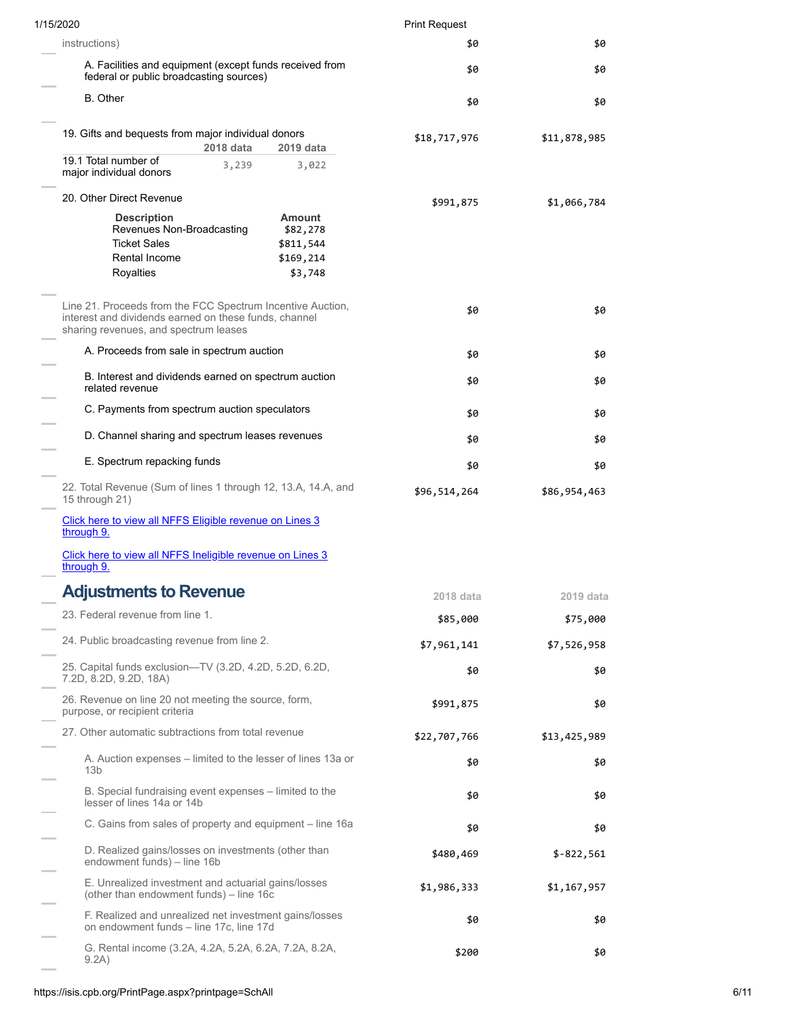| 1/15/2020                                                                                                                                                    |                                                         | <b>Print Request</b> |              |
|--------------------------------------------------------------------------------------------------------------------------------------------------------------|---------------------------------------------------------|----------------------|--------------|
| instructions)                                                                                                                                                |                                                         | \$0                  | \$0          |
| A. Facilities and equipment (except funds received from<br>federal or public broadcasting sources)                                                           |                                                         | \$0                  | \$0          |
| <b>B.</b> Other                                                                                                                                              |                                                         | \$0                  | \$0          |
| 19. Gifts and bequests from major individual donors<br>2018 data                                                                                             | 2019 data                                               | \$18,717,976         | \$11,878,985 |
| 19.1 Total number of<br>3,239<br>major individual donors                                                                                                     | 3,022                                                   |                      |              |
| 20. Other Direct Revenue                                                                                                                                     |                                                         | \$991,875            | \$1,066,784  |
| <b>Description</b><br>Revenues Non-Broadcasting<br><b>Ticket Sales</b><br>Rental Income<br>Royalties                                                         | Amount<br>\$82,278<br>\$811,544<br>\$169,214<br>\$3,748 |                      |              |
|                                                                                                                                                              |                                                         |                      |              |
| Line 21. Proceeds from the FCC Spectrum Incentive Auction,<br>interest and dividends earned on these funds, channel<br>sharing revenues, and spectrum leases |                                                         | \$0                  | \$0          |
| A. Proceeds from sale in spectrum auction                                                                                                                    |                                                         | \$0                  | \$0          |
| B. Interest and dividends earned on spectrum auction<br>related revenue                                                                                      |                                                         | \$0                  | \$0          |
| C. Payments from spectrum auction speculators                                                                                                                |                                                         | \$0                  | \$0          |
| D. Channel sharing and spectrum leases revenues                                                                                                              |                                                         | \$0                  | \$0          |
| E. Spectrum repacking funds                                                                                                                                  |                                                         | \$0                  | \$0          |
| 22. Total Revenue (Sum of lines 1 through 12, 13.A, 14.A, and<br>15 through 21)                                                                              |                                                         | \$96,514,264         | \$86,954,463 |
| Click here to view all NFFS Eligible revenue on Lines 3<br>through 9.                                                                                        |                                                         |                      |              |
| Click here to view all NFFS Ineligible revenue on Lines 3<br>through 9.                                                                                      |                                                         |                      |              |
| <b>Adjustments to Revenue</b>                                                                                                                                |                                                         | 2018 data            | 2019 data    |
| 23. Federal revenue from line 1.                                                                                                                             |                                                         | \$85,000             | \$75,000     |
| 24. Public broadcasting revenue from line 2.                                                                                                                 |                                                         | \$7,961,141          | \$7,526,958  |
| 25. Capital funds exclusion—TV (3.2D, 4.2D, 5.2D, 6.2D,<br>7.2D, 8.2D, 9.2D, 18A)                                                                            |                                                         | \$0                  | \$0          |
| 26. Revenue on line 20 not meeting the source, form,<br>purpose, or recipient criteria                                                                       |                                                         | \$991,875            | \$0          |
| 27. Other automatic subtractions from total revenue                                                                                                          |                                                         | \$22,707,766         | \$13,425,989 |
| A. Auction expenses – limited to the lesser of lines 13a or<br>13 <sub>b</sub>                                                                               |                                                         | \$0                  | \$0          |
| B. Special fundraising event expenses – limited to the<br>lesser of lines 14a or 14b                                                                         |                                                         | \$0                  | \$0          |
| C. Gains from sales of property and equipment – line 16a                                                                                                     |                                                         | \$0                  | \$0          |
| D. Realized gains/losses on investments (other than<br>endowment funds) - line 16b                                                                           |                                                         | \$480,469            | $$-822,561$  |
| E. Unrealized investment and actuarial gains/losses<br>(other than endowment funds) – line 16c                                                               |                                                         | \$1,986,333          | \$1,167,957  |
| F. Realized and unrealized net investment gains/losses<br>on endowment funds - line 17c, line 17d                                                            |                                                         | \$0                  | \$0          |
| G. Rental income (3.2A, 4.2A, 5.2A, 6.2A, 7.2A, 8.2A,<br>9.2A)                                                                                               |                                                         | \$200                | \$0          |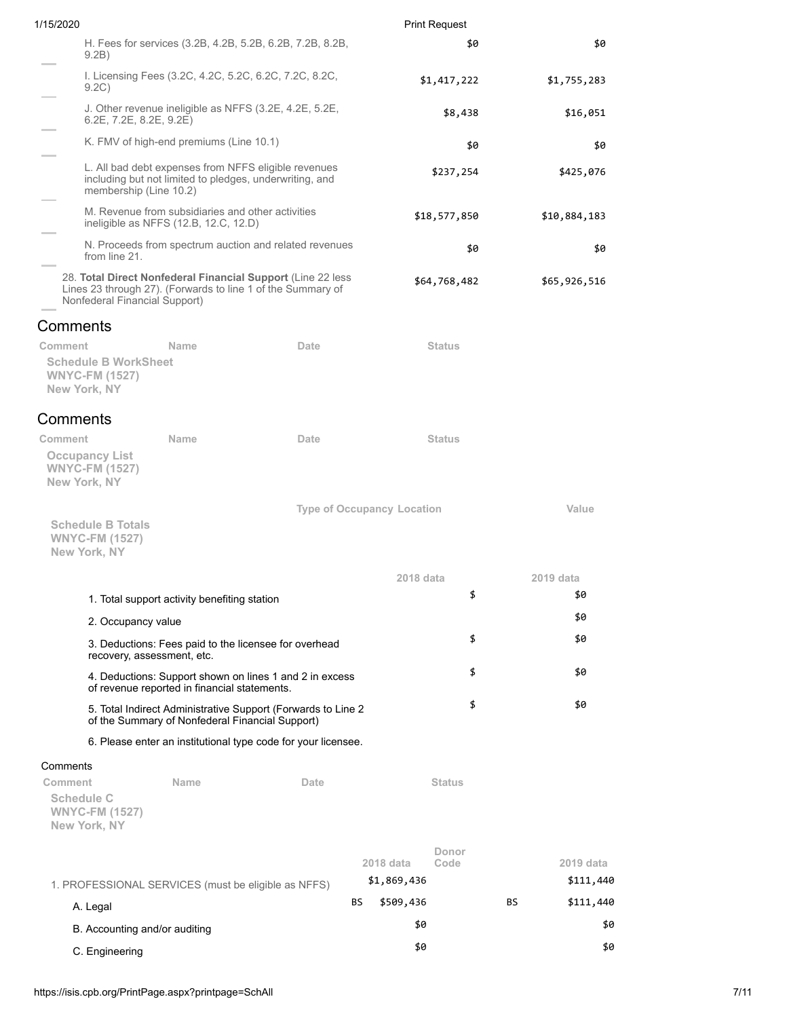| 1/15/2020                                                                         |                                                                                                                            |                                                               | <b>Print Request</b>              |     |              |
|-----------------------------------------------------------------------------------|----------------------------------------------------------------------------------------------------------------------------|---------------------------------------------------------------|-----------------------------------|-----|--------------|
| 9.2B)                                                                             | H. Fees for services (3.2B, 4.2B, 5.2B, 6.2B, 7.2B, 8.2B,                                                                  |                                                               | \$0                               |     | \$0          |
| 9.2C)                                                                             | I. Licensing Fees (3.2C, 4.2C, 5.2C, 6.2C, 7.2C, 8.2C,                                                                     |                                                               | \$1,417,222                       |     | \$1,755,283  |
| $6.2E$ , $7.2E$ , $8.2E$ , $9.2E$ )                                               | J. Other revenue ineligible as NFFS (3.2E, 4.2E, 5.2E,                                                                     |                                                               | \$8,438                           |     | \$16,051     |
|                                                                                   | K. FMV of high-end premiums (Line 10.1)                                                                                    |                                                               | \$0                               |     | \$0          |
| membership (Line 10.2)                                                            | L. All bad debt expenses from NFFS eligible revenues<br>including but not limited to pledges, underwriting, and            |                                                               | \$237,254                         |     | \$425,076    |
|                                                                                   | M. Revenue from subsidiaries and other activities<br>ineligible as NFFS (12.B, 12.C, 12.D)                                 |                                                               | \$18,577,850                      |     | \$10,884,183 |
| from line 21.                                                                     | N. Proceeds from spectrum auction and related revenues                                                                     |                                                               | \$0                               |     | \$0          |
| Nonfederal Financial Support)                                                     | 28. Total Direct Nonfederal Financial Support (Line 22 less<br>Lines 23 through 27). (Forwards to line 1 of the Summary of |                                                               | \$64,768,482                      |     | \$65,926,516 |
| Comments                                                                          |                                                                                                                            |                                                               |                                   |     |              |
| Comment<br><b>Schedule B WorkSheet</b><br><b>WNYC-FM (1527)</b><br>New York, NY   | Name                                                                                                                       | Date                                                          | <b>Status</b>                     |     |              |
| Comments                                                                          |                                                                                                                            |                                                               |                                   |     |              |
| Comment<br><b>Occupancy List</b><br><b>WNYC-FM (1527)</b><br>New York, NY         | <b>Name</b>                                                                                                                | Date                                                          | <b>Status</b>                     |     |              |
| <b>Schedule B Totals</b><br><b>WNYC-FM (1527)</b><br>New York, NY                 |                                                                                                                            |                                                               | <b>Type of Occupancy Location</b> |     | Value        |
|                                                                                   |                                                                                                                            |                                                               | 2018 data                         |     | 2019 data    |
|                                                                                   | 1. Total support activity benefiting station                                                                               |                                                               | \$                                |     | \$0          |
| 2. Occupancy value                                                                |                                                                                                                            |                                                               |                                   |     | \$0          |
|                                                                                   | 3. Deductions: Fees paid to the licensee for overhead<br>recovery, assessment, etc.                                        |                                                               | \$                                |     | \$0          |
|                                                                                   | of revenue reported in financial statements.                                                                               | 4. Deductions: Support shown on lines 1 and 2 in excess       | \$                                |     | \$0          |
|                                                                                   | of the Summary of Nonfederal Financial Support)                                                                            | 5. Total Indirect Administrative Support (Forwards to Line 2  | \$                                |     | \$0          |
|                                                                                   |                                                                                                                            | 6. Please enter an institutional type code for your licensee. |                                   |     |              |
| Comments<br>Comment<br><b>Schedule C</b><br><b>WNYC-FM (1527)</b><br>New York, NY | Name                                                                                                                       | Date                                                          | <b>Status</b>                     |     |              |
|                                                                                   |                                                                                                                            |                                                               | Donor                             |     |              |
|                                                                                   |                                                                                                                            |                                                               | Code<br>2018 data                 |     | 2019 data    |
|                                                                                   | 1. PROFESSIONAL SERVICES (must be eligible as NFFS)                                                                        |                                                               | \$1,869,436                       |     | \$111,440    |
| A. Legal                                                                          |                                                                                                                            | BS                                                            | \$509,436                         | BS. | \$111,440    |
| B. Accounting and/or auditing                                                     |                                                                                                                            |                                                               | \$0                               |     | \$0          |
| C. Engineering                                                                    |                                                                                                                            |                                                               | \$0                               |     | \$0          |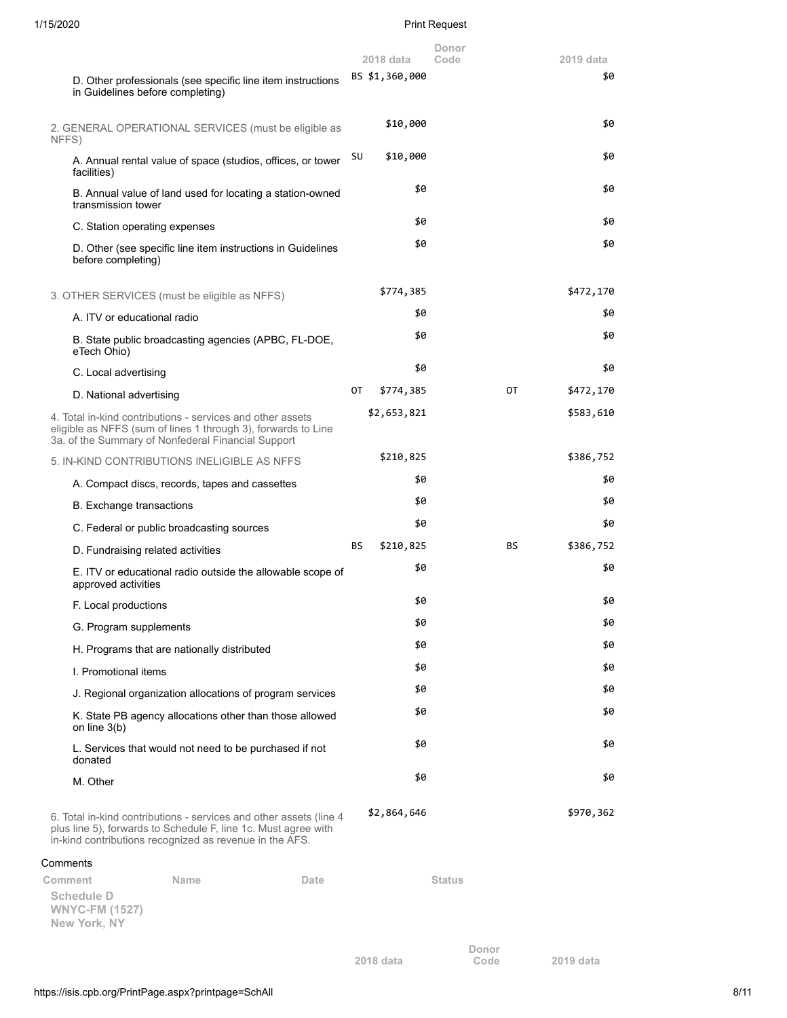|                                                                                                                                                                                                 | 2018 data       | Donor<br>Code | 2019 data |
|-------------------------------------------------------------------------------------------------------------------------------------------------------------------------------------------------|-----------------|---------------|-----------|
| D. Other professionals (see specific line item instructions<br>in Guidelines before completing)                                                                                                 | BS \$1,360,000  |               | \$0       |
| 2. GENERAL OPERATIONAL SERVICES (must be eligible as<br>NFFS)                                                                                                                                   | \$10,000        |               | \$0       |
| A. Annual rental value of space (studios, offices, or tower<br>facilities)                                                                                                                      | SU<br>\$10,000  |               | \$0       |
| B. Annual value of land used for locating a station-owned<br>transmission tower                                                                                                                 | \$0             |               | \$0       |
| C. Station operating expenses                                                                                                                                                                   | \$0             |               | \$0       |
| D. Other (see specific line item instructions in Guidelines<br>before completing)                                                                                                               | \$0             |               | \$0       |
| 3. OTHER SERVICES (must be eligible as NFFS)                                                                                                                                                    | \$774,385       |               | \$472,170 |
| A. ITV or educational radio                                                                                                                                                                     | \$0             |               | \$0       |
| B. State public broadcasting agencies (APBC, FL-DOE,<br>eTech Ohio)                                                                                                                             | \$0             |               | \$0       |
| C. Local advertising                                                                                                                                                                            | \$0             |               | \$0       |
| D. National advertising                                                                                                                                                                         | \$774,385<br>OТ | 0T            | \$472,170 |
| 4. Total in-kind contributions - services and other assets<br>eligible as NFFS (sum of lines 1 through 3), forwards to Line<br>3a. of the Summary of Nonfederal Financial Support               | \$2,653,821     |               | \$583,610 |
| 5. IN-KIND CONTRIBUTIONS INELIGIBLE AS NFFS                                                                                                                                                     | \$210,825       |               | \$386,752 |
| A. Compact discs, records, tapes and cassettes                                                                                                                                                  | \$0             |               | \$0       |
| <b>B.</b> Exchange transactions                                                                                                                                                                 | \$0             |               | \$0       |
| C. Federal or public broadcasting sources                                                                                                                                                       | \$0             |               | \$0       |
| D. Fundraising related activities                                                                                                                                                               | \$210,825<br>BS | BS            | \$386,752 |
| E. ITV or educational radio outside the allowable scope of<br>approved activities                                                                                                               | \$0             |               | \$0       |
| F. Local productions                                                                                                                                                                            | \$0             |               | \$0       |
| G. Program supplements                                                                                                                                                                          | \$0             |               | \$0       |
| H. Programs that are nationally distributed                                                                                                                                                     | \$0             |               | \$0       |
| I. Promotional items                                                                                                                                                                            | \$0             |               | \$0       |
| J. Regional organization allocations of program services                                                                                                                                        | \$0             |               | \$0       |
| K. State PB agency allocations other than those allowed<br>on line $3(b)$                                                                                                                       | \$0             |               | \$0       |
| L. Services that would not need to be purchased if not<br>donated                                                                                                                               | \$0             |               | \$0       |
| M. Other                                                                                                                                                                                        | \$0             |               | \$0       |
| 6. Total in-kind contributions - services and other assets (line 4<br>plus line 5), forwards to Schedule F, line 1c. Must agree with<br>in-kind contributions recognized as revenue in the AFS. | \$2,864,646     |               | \$970,362 |
| Comments                                                                                                                                                                                        |                 |               |           |
| Comment<br>Name<br>Date                                                                                                                                                                         |                 | Status        |           |
| Schedule D<br><b>WNYC-FM (1527)</b><br>New York, NY                                                                                                                                             |                 |               |           |
|                                                                                                                                                                                                 | 2018 data       | Donor<br>Code | 2019 data |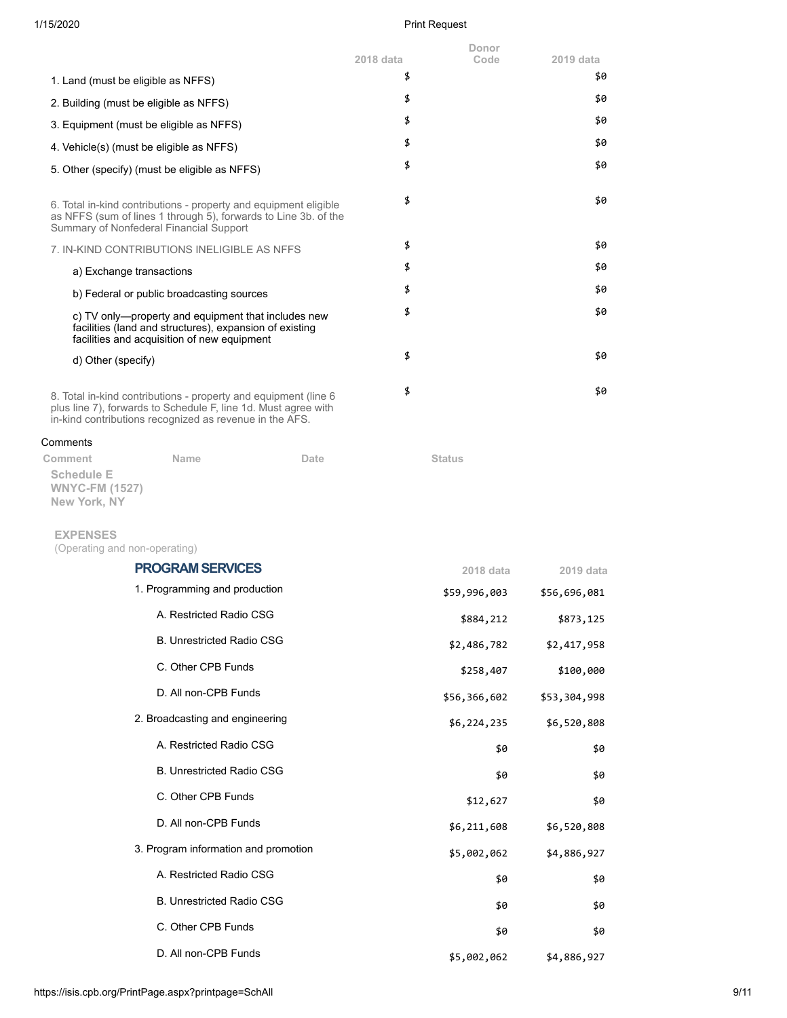**Donor**

|                                                                                                                                                                                               | 2018 data | Code | 2019 data |
|-----------------------------------------------------------------------------------------------------------------------------------------------------------------------------------------------|-----------|------|-----------|
| 1. Land (must be eligible as NFFS)                                                                                                                                                            | \$        |      | \$0       |
| 2. Building (must be eligible as NFFS)                                                                                                                                                        | \$        |      | \$0       |
| 3. Equipment (must be eligible as NFFS)                                                                                                                                                       | \$        |      | \$0       |
| 4. Vehicle(s) (must be eligible as NFFS)                                                                                                                                                      | \$        |      | \$0       |
| 5. Other (specify) (must be eligible as NFFS)                                                                                                                                                 | \$        |      | \$0       |
| 6. Total in-kind contributions - property and equipment eligible<br>as NFFS (sum of lines 1 through 5), forwards to Line 3b. of the<br>Summary of Nonfederal Financial Support                | \$        |      | \$0       |
| 7. IN-KIND CONTRIBUTIONS INELIGIBLE AS NFFS                                                                                                                                                   | \$        |      | \$0       |
| a) Exchange transactions                                                                                                                                                                      | \$        |      | \$0       |
| b) Federal or public broadcasting sources                                                                                                                                                     | \$        |      | \$0       |
| c) TV only—property and equipment that includes new<br>facilities (land and structures), expansion of existing<br>facilities and acquisition of new equipment                                 | \$        |      | \$0       |
| d) Other (specify)                                                                                                                                                                            | \$        |      | \$0       |
| 8. Total in-kind contributions - property and equipment (line 6)<br>plus line 7), forwards to Schedule F, line 1d. Must agree with<br>in-kind contributions recognized as revenue in the AFS. | \$        |      | \$0       |
| Comments                                                                                                                                                                                      |           |      |           |

| Comment                              | Name | Date | <b>Status</b> |
|--------------------------------------|------|------|---------------|
| Schedule E                           |      |      |               |
| <b>WNYC-FM (1527)</b><br>Nouvelle NV |      |      |               |

**New York, NY**

### **EXPENSES**

(Operating and non-operating)

| <b>PROGRAM SERVICES</b>              | 2018 data    | 2019 data    |
|--------------------------------------|--------------|--------------|
| 1. Programming and production        | \$59,996,003 | \$56,696,081 |
| A. Restricted Radio CSG              | \$884,212    | \$873,125    |
| <b>B. Unrestricted Radio CSG</b>     | \$2,486,782  | \$2,417,958  |
| C. Other CPB Funds                   | \$258,407    | \$100,000    |
| D. All non-CPB Funds                 | \$56,366,602 | \$53,304,998 |
| 2. Broadcasting and engineering      | \$6,224,235  | \$6,520,808  |
| A. Restricted Radio CSG              | \$0          | \$0          |
| <b>B. Unrestricted Radio CSG</b>     | \$0          | \$0          |
| C. Other CPB Funds                   | \$12,627     | \$0          |
| D. All non-CPB Funds                 | \$6,211,608  | \$6,520,808  |
| 3. Program information and promotion | \$5,002,062  | \$4,886,927  |
| A. Restricted Radio CSG              | \$0          | \$0          |
| <b>B. Unrestricted Radio CSG</b>     | \$0          | \$0          |
| C. Other CPB Funds                   | \$0          | \$0          |
| D. All non-CPB Funds                 | \$5,002,062  | \$4,886,927  |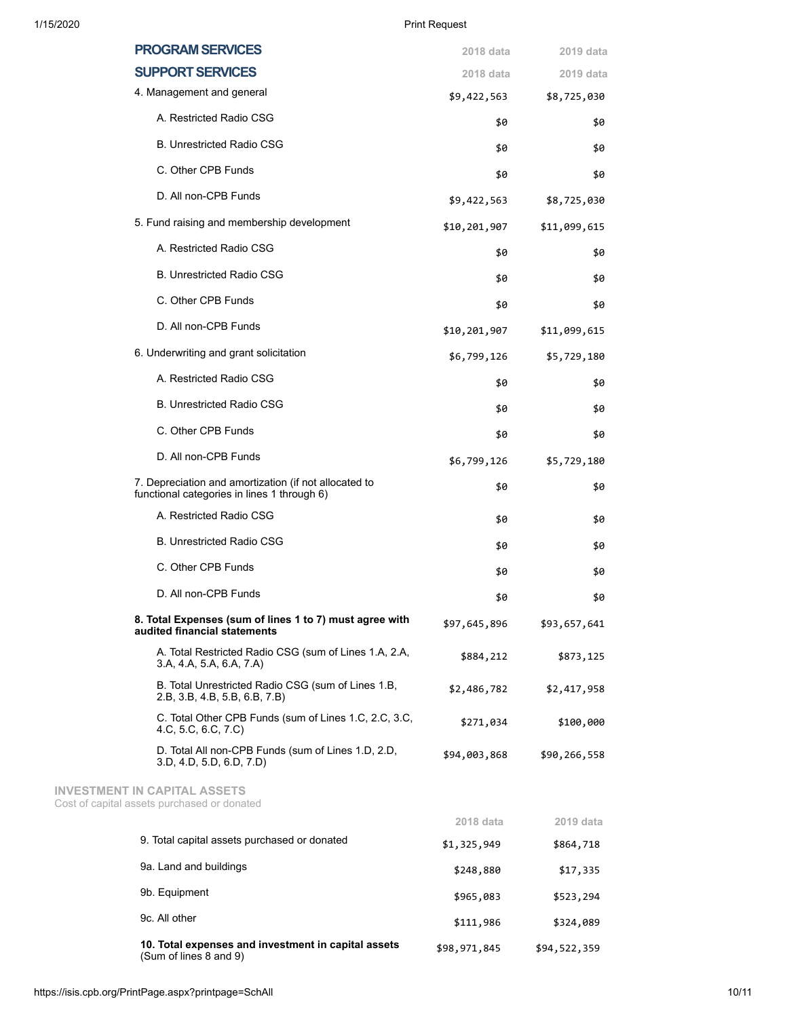| 10. Total expenses and investment in capital assets<br>(Sum of lines 8 and 9)                        | \$98,971,845             | \$94,522,359             |
|------------------------------------------------------------------------------------------------------|--------------------------|--------------------------|
| 9c. All other                                                                                        | \$111,986                | \$324,089                |
| 9b. Equipment                                                                                        | \$965,083                | \$523,294                |
| 9a. Land and buildings                                                                               | \$248,880                | \$17,335                 |
| 9. Total capital assets purchased or donated                                                         | \$1,325,949              | \$864,718                |
|                                                                                                      | 2018 data                | 2019 data                |
| <b>INVESTMENT IN CAPITAL ASSETS</b><br>Cost of capital assets purchased or donated                   |                          |                          |
| D. Total All non-CPB Funds (sum of Lines 1.D, 2.D,<br>3.D, 4.D, 5.D, 6.D, 7.D)                       | \$94,003,868             | \$90,266,558             |
| C. Total Other CPB Funds (sum of Lines 1.C, 2.C, 3.C,<br>4.C, 5.C, 6.C, 7.C)                         | \$271,034                | \$100,000                |
| B. Total Unrestricted Radio CSG (sum of Lines 1.B,<br>2.B, 3.B, 4.B, 5.B, 6.B, 7.B)                  | \$2,486,782              | \$2,417,958              |
| A. Total Restricted Radio CSG (sum of Lines 1.A, 2.A,<br>3.A, 4.A, 5.A, 6.A, 7.A)                    | \$884,212                | \$873,125                |
| 8. Total Expenses (sum of lines 1 to 7) must agree with<br>audited financial statements              | \$97,645,896             | \$93,657,641             |
| D. All non-CPB Funds                                                                                 | \$0                      | \$0                      |
| C. Other CPB Funds                                                                                   | \$0                      | \$0                      |
| <b>B. Unrestricted Radio CSG</b>                                                                     | \$0                      | \$0                      |
| A. Restricted Radio CSG                                                                              | \$0                      | \$0                      |
| 7. Depreciation and amortization (if not allocated to<br>functional categories in lines 1 through 6) | \$0                      | \$0                      |
| D. All non-CPB Funds                                                                                 | \$6,799,126              | \$5,729,180              |
| C. Other CPB Funds                                                                                   | \$0                      | \$0                      |
| <b>B. Unrestricted Radio CSG</b>                                                                     | \$0                      | \$0                      |
| A. Restricted Radio CSG                                                                              | \$0                      | \$0                      |
| 6. Underwriting and grant solicitation                                                               | \$6,799,126              | \$5,729,180              |
| D. All non-CPB Funds                                                                                 | \$10,201,907             | \$11,099,615             |
| C. Other CPB Funds                                                                                   | \$0                      | \$0                      |
| <b>B. Unrestricted Radio CSG</b>                                                                     | \$0                      | \$0                      |
| A. Restricted Radio CSG                                                                              | \$0                      | \$0                      |
| 5. Fund raising and membership development                                                           | \$10,201,907             | \$11,099,615             |
| D. All non-CPB Funds                                                                                 | \$9,422,563              | \$8,725,030              |
| C. Other CPB Funds                                                                                   | \$0                      | \$0                      |
| <b>B. Unrestricted Radio CSG</b>                                                                     | \$0                      | \$0                      |
| A. Restricted Radio CSG                                                                              | \$0                      | \$0                      |
| 4. Management and general                                                                            | 2018 data<br>\$9,422,563 | 2019 data<br>\$8,725,030 |
| <b>PROGRAM SERVICES</b><br><b>SUPPORT SERVICES</b>                                                   | 2018 data                | 2019 data                |
|                                                                                                      |                          |                          |